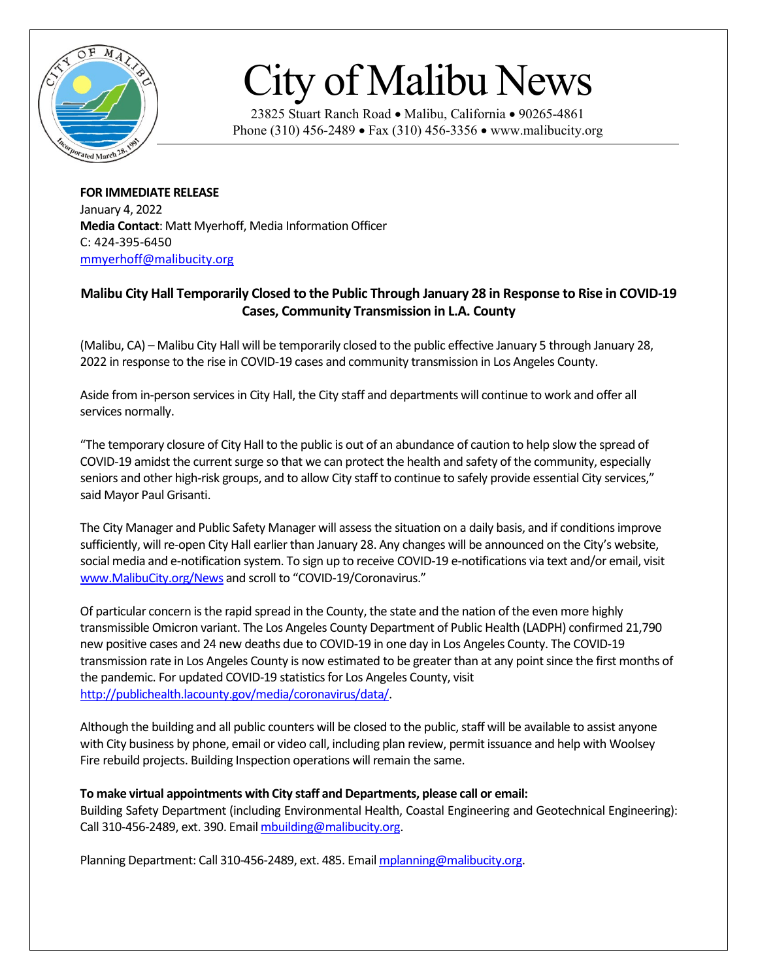

## City of Malibu News

23825 Stuart Ranch Road • Malibu, California • 90265-4861 Phone (310) 456-2489 • Fax (310) 456-3356 • www.malibucity.org

**FOR IMMEDIATE RELEASE** January 4, 2022 **Media Contact**: Matt Myerhoff, Media Information Officer C: 424-395-6450 [mmyerhoff@malibucity.org](mailto:mmyerhoff@malibucity.org)

## **Malibu City Hall Temporarily Closed to the Public Through January 28 in Response to Rise in COVID-19 Cases, Community Transmission in L.A. County**

(Malibu, CA) – Malibu City Hall will be temporarily closed to the public effective January 5 through January 28, 2022 in response to the rise in COVID-19 cases and community transmission in Los Angeles County.

Aside from in-person services in City Hall, the City staff and departments will continue to work and offer all services normally.

"The temporary closure of City Hall to the public is out of an abundance of caution to help slow the spread of COVID-19 amidst the current surge so that we can protect the health and safety of the community, especially seniors and other high-risk groups, and to allow City staff to continue to safely provide essential City services," said Mayor Paul Grisanti.

The City Manager and Public Safety Manager will assessthe situation on a daily basis, and if conditions improve sufficiently, will re-open City Hall earlier than January 28. Any changes will be announced on the City's website, social media and e-notification system. To sign up to receive COVID-19 e-notifications via text and/or email, visit [www.MalibuCity.org/News](http://www.malibucity.org/News) and scroll to "COVID-19/Coronavirus."

Of particular concern is the rapid spread in the County, the state and the nation of the even more highly transmissible Omicron variant. The Los Angeles County Department of Public Health (LADPH) confirmed 21,790 new positive cases and 24 new deaths due to COVID-19 in one day in Los Angeles County. The COVID-19 transmission rate in Los Angeles County is now estimated to be greater than at any point since the first months of the pandemic. For updated COVID-19 statistics for Los Angeles County, visit [http://publichealth.lacounty.gov/media/coronavirus/data/.](http://publichealth.lacounty.gov/media/coronavirus/data/)

Although the building and all public counters will be closed to the public, staff will be available to assist anyone with City business by phone, email or video call, including plan review, permit issuance and help with Woolsey Fire rebuild projects. Building Inspection operations will remain the same.

## **To make virtual appointments with City staff and Departments, please call or email:**

Building Safety Department (including Environmental Health, Coastal Engineering and Geotechnical Engineering): Call 310-456-2489, ext. 390. Emai[l mbuilding@malibucity.org.](mailto:mbuilding@malibucity.org)

Planning Department: Call 310-456-2489, ext. 485. Email [mplanning@malibucity.org.](mailto:mplanning@malibucity.org)